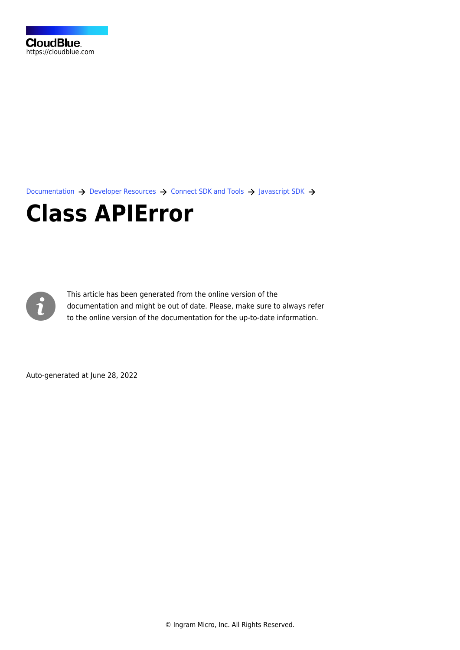[Documentation](https://connect.cloudblue.com/documentation)  $\rightarrow$  [Developer Resources](https://connect.cloudblue.com/community/developers/)  $\rightarrow$  [Connect SDK and Tools](https://connect.cloudblue.com/community/developers/sdk/)  $\rightarrow$  [Javascript SDK](https://connect.cloudblue.com/community/developers/sdk/javascript-sdk/)  $\rightarrow$ 

# **[Class APIError](https://connect.cloudblue.com/community/developers/sdk/javascript-sdk/class-apierror/)**



This article has been generated from the online version of the documentation and might be out of date. Please, make sure to always refer to the online version of the documentation for the up-to-date information.

Auto-generated at June 28, 2022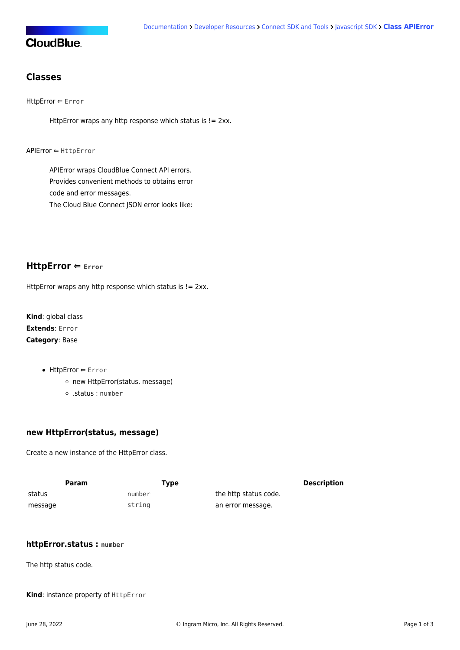## **CloudBlue**

## **Classes**

[HttpError](#page-1-0) ⇐ Error

HttpError wraps any http response which status is != 2xx.

[APIError](#page-1-1) ⇐ [HttpError](#page-1-0)

APIError wraps CloudBlue Connect API errors. Provides convenient methods to obtains error code and error messages. The Cloud Blue Connect JSON error looks like:

### <span id="page-1-0"></span>**HttpError ⇐ Error**

HttpError wraps any http response which status is != 2xx.

**Kind**: global class **Extends**: Error **Category**: Base

- [HttpError](#page-1-0) ← Error
	- o [new HttpError\(status, message\)](#page-1-2)
	- [.status](#page-3-0) : number

#### <span id="page-1-2"></span>**new HttpError(status, message)**

Create a new instance of the HttpError class.

| Param   | Type   |                       | Description |
|---------|--------|-----------------------|-------------|
| status  | number | the http status code. |             |
| message | string | an error message.     |             |

#### **httpError.status : number**

The http status code.

<span id="page-1-1"></span>**Kind**: instance property of [HttpError](#page-1-0)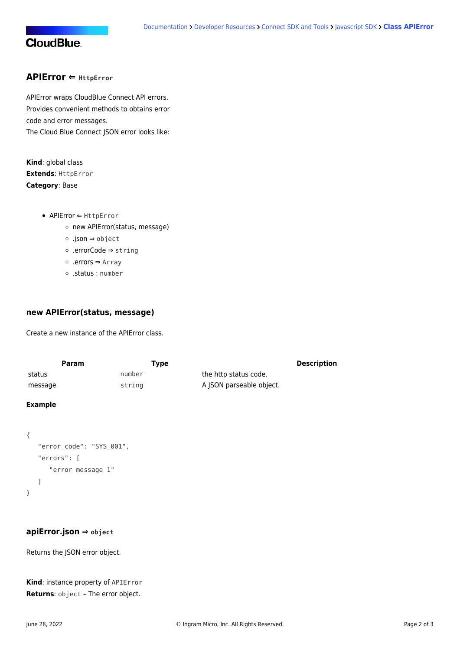## **CloudBlue**

#### **APIError ⇐ [HttpError](#page-1-0)**

APIError wraps CloudBlue Connect API errors. Provides convenient methods to obtains error code and error messages. The Cloud Blue Connect JSON error looks like:

**Kind**: global class **Extends**: [HttpError](#page-1-0) **Category**: Base

- [APIError](#page-1-1) ⇐ [HttpError](#page-1-0)
	- o [new APIError\(status, message\)](#page-2-0)
	- [.json](#page-2-1) ⇒ object
	- [.errorCode](#page-2-2) ⇒ string
	- [.errors](#page-3-1) ⇒ Array
	- [.status](#page-3-0) : number

#### <span id="page-2-0"></span>**new APIError(status, message)**

Create a new instance of the APIError class.

| Param   | Type   |                          | <b>Description</b> |
|---------|--------|--------------------------|--------------------|
| status  | number | the http status code.    |                    |
| message | string | A ISON parseable object. |                    |

#### **Example**

```
{
    "error_code": "SYS_001",
    "errors": [
       "error message 1"
    ]
}
```
#### <span id="page-2-1"></span>**apiError.json ⇒ object**

Returns the JSON error object.

```
Kind: instance property of APIError
Returns: object – The error object.
```